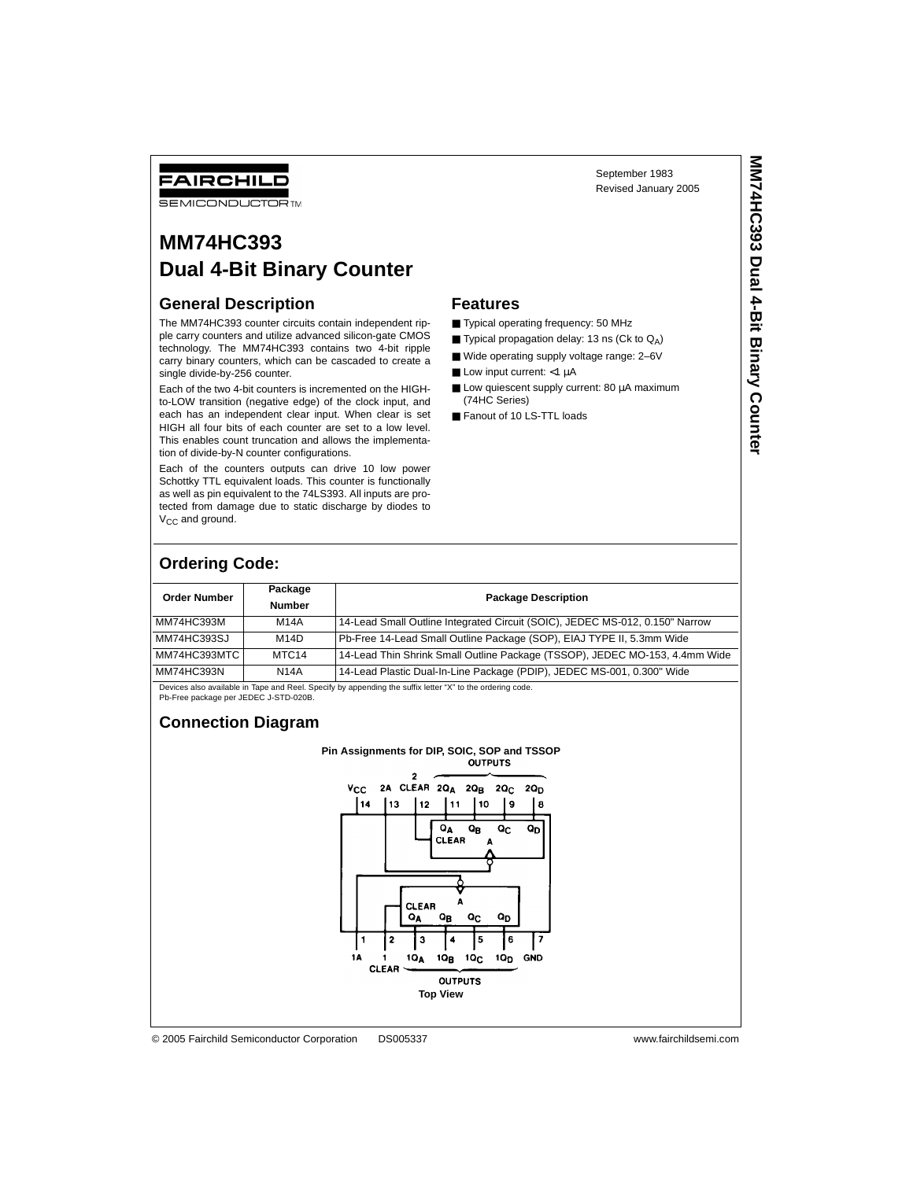September 1983 Revised January 2005

### FAIRCHILD **SEMICONDUCTOR TM**

# **MM74HC393 Dual 4-Bit Binary Counter**

## **General Description**

The MM74HC393 counter circuits contain independent ripple carry counters and utilize advanced silicon-gate CMOS technology. The MM74HC393 contains two 4-bit ripple carry binary counters, which can be cascaded to create a single divide-by-256 counter.

Each of the two 4-bit counters is incremented on the HIGHto-LOW transition (negative edge) of the clock input, and each has an independent clear input. When clear is set HIGH all four bits of each counter are set to a low level. This enables count truncation and allows the implementation of divide-by-N counter configurations.

Each of the counters outputs can drive 10 low power Schottky TTL equivalent loads. This counter is functionally as well as pin equivalent to the 74LS393. All inputs are protected from damage due to static discharge by diodes to  $V_{CC}$  and ground.

### **Features**

- Typical operating frequency: 50 MHz
- **Typical propagation delay: 13 ns (Ck to**  $Q_A$ **)**
- Wide operating supply voltage range: 2-6V
- Low input current: <1 µA
- Low quiescent supply current: 80 µA maximum (74HC Series)
- Fanout of 10 LS-TTL loads

## **Ordering Code:**

| <b>Order Number</b> | Package<br><b>Number</b> | <b>Package Description</b>                                                   |  |
|---------------------|--------------------------|------------------------------------------------------------------------------|--|
| MM74HC393M          | <b>M14A</b>              | 14-Lead Small Outline Integrated Circuit (SOIC), JEDEC MS-012, 0.150" Narrow |  |
| MM74HC393SJ         | M14D                     | Pb-Free 14-Lead Small Outline Package (SOP), EIAJ TYPE II, 5.3mm Wide        |  |
| MM74HC393MTC        | MTC <sub>14</sub>        | 14-Lead Thin Shrink Small Outline Package (TSSOP), JEDEC MO-153, 4.4mm Wide  |  |
| MM74HC393N          | <b>N14A</b>              | 14-Lead Plastic Dual-In-Line Package (PDIP), JEDEC MS-001, 0.300" Wide       |  |

Devices also available in Tape and Reel. Specify by appending the suffix letter "X" to the ordering code. Pb-Free package per JEDEC J-STD-020B.

### **Connection Diagram**

## **Pin Assignments for DIP, SOIC, SOP and TSSOP**

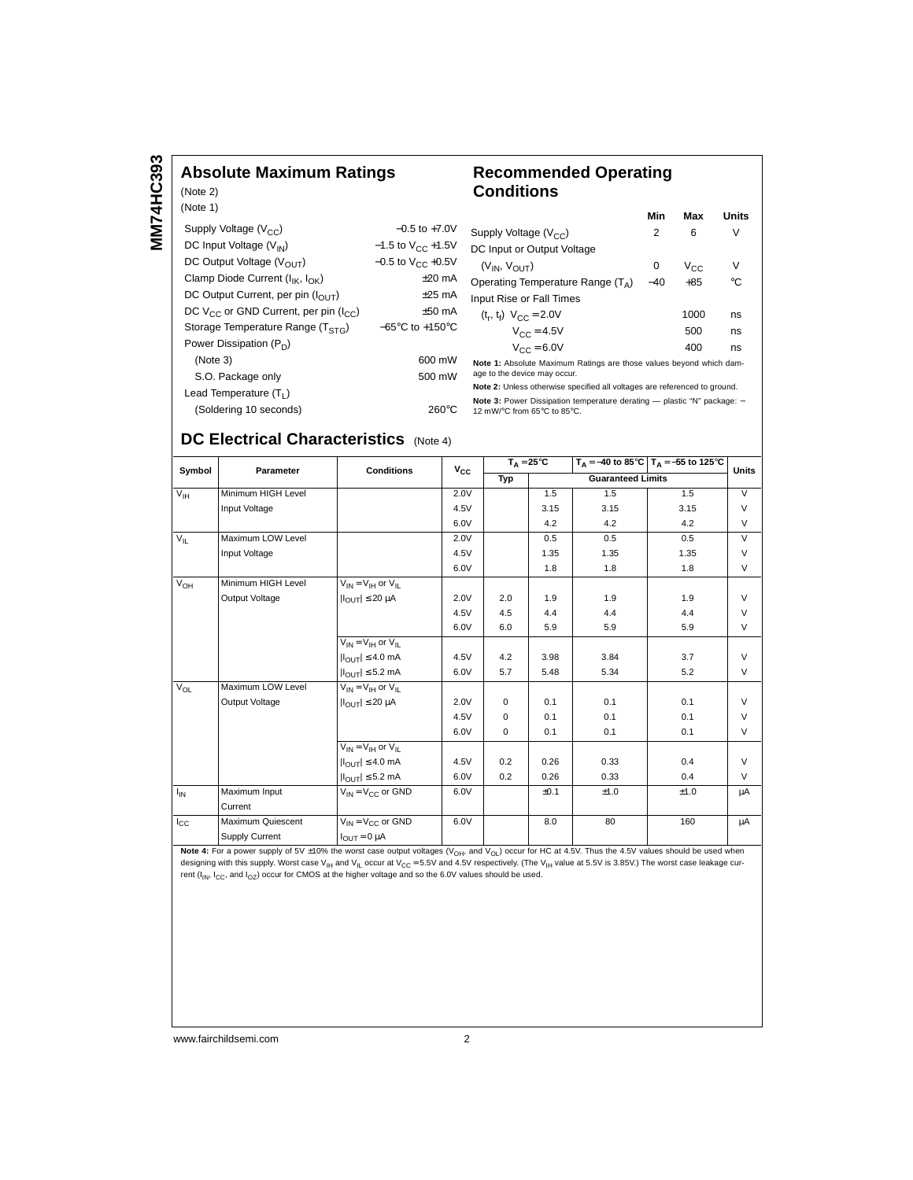## **Absolute Maximum Ratings**

#### (Note 2) (Note 1) Supply Voltage  $(V_{CC})$   $-0.5$  to +7.0V DC Input Voltage  $(V_{1N})$  -1.5 to  $V_{CC}$  +1.5V DC Output Voltage  $(V_{\text{OUT}})$  -0.5 to  $V_{\text{CC}}$  +0.5V Clamp Diode Current  $(I_{\mathsf{IK}}, I_{\mathsf{OK}})$   $\pm 20 \text{ mA}$ DC Output Current, per pin  $(I_{\text{OUT}})$   $\pm 25 \text{ mA}$ DC V<sub>CC</sub> or GND Current, per pin ( $I_{CC}$ )  $\pm$ 50 mA<br>Storage Temperature Range (T<sub>STG</sub>)  $-65^{\circ}$ C to +150<sup>°</sup>C Storage Temperature Range (T<sub>STG</sub>) Power Dissipation (P<sub>D</sub>) (Note 3) 600 mW S.O. Package only 500 mW Lead Temperature  $(T_L)$

## **Recommended Operating Conditions**

|                                                                     | Min   | Max      | <b>Units</b> |  |
|---------------------------------------------------------------------|-------|----------|--------------|--|
| Supply Voltage $(V_{CC})$                                           | 2     | 6        | V            |  |
| DC Input or Output Voltage                                          |       |          |              |  |
| $(V_{IN}, V_{OIII})$                                                | 0     | $V_{CC}$ | V            |  |
| Operating Temperature Range $(T_A)$                                 | $-40$ | $+85$    | °C           |  |
| Input Rise or Fall Times                                            |       |          |              |  |
| $(t_r, t_f)$ $V_{CC} = 2.0V$                                        |       | 1000     | ns           |  |
| $V_{CC} = 4.5V$                                                     |       | 500      | ns           |  |
| $V_{CC} = 6.0V$                                                     |       | 400      | ns           |  |
| Note 1: Absolute Maximum Ratings are those values beyond which dam- |       |          |              |  |

age to the device may occur. **Note 2:** Unless otherwise specified all voltages are referenced to ground.

**Note 3:** Power Dissipation temperature derating — plastic "N" package: –<br>12 mW/°C from 65°C to 85°C.

### **DC Electrical Characteristics** (Note 4)

(Soldering 10 seconds) 260°C

| Symbol          | Parameter          | <b>Conditions</b>                      | $V_{CC}$ | $T_A = 25^{\circ}C$ |                          |      | $T_A = -40$ to 85°C $T_A = -55$ to 125°C | <b>Units</b>   |
|-----------------|--------------------|----------------------------------------|----------|---------------------|--------------------------|------|------------------------------------------|----------------|
|                 |                    |                                        |          | Typ                 | <b>Guaranteed Limits</b> |      |                                          |                |
| $V_{\text{IH}}$ | Minimum HIGH Level |                                        | 2.0V     |                     | 1.5                      | 1.5  | 1.5                                      | $\overline{V}$ |
|                 | Input Voltage      |                                        | 4.5V     |                     | 3.15                     | 3.15 | 3.15                                     | $\vee$         |
|                 |                    |                                        | 6.0V     |                     | 4.2                      | 4.2  | 4.2                                      | $\vee$         |
| $V_{\parallel}$ | Maximum LOW Level  |                                        | 2.0V     |                     | 0.5                      | 0.5  | 0.5                                      | $\vee$         |
|                 | Input Voltage      |                                        | 4.5V     |                     | 1.35                     | 1.35 | 1.35                                     | V              |
|                 |                    |                                        | 6.0V     |                     | 1.8                      | 1.8  | 1.8                                      | V              |
| $V_{OH}$        | Minimum HIGH Level | $V_{IN} = V_{IH}$ or $V_{II}$          |          |                     |                          |      |                                          |                |
|                 | Output Voltage     | $ I_{\text{OUT}}  \leq 20 \mu A$       | 2.0V     | 2.0                 | 1.9                      | 1.9  | 1.9                                      | $\vee$         |
|                 |                    |                                        | 4.5V     | 4.5                 | 4.4                      | 4.4  | 4.4                                      | $\vee$         |
|                 |                    |                                        | 6.0V     | 6.0                 | 5.9                      | 5.9  | 5.9                                      | $\vee$         |
|                 |                    | $V_{IN} = V_{IH}$ or $V_{II}$          |          |                     |                          |      |                                          |                |
|                 |                    | $ I_{\text{OUT}}  \leq 4.0 \text{ mA}$ | 4.5V     | 4.2                 | 3.98                     | 3.84 | 3.7                                      | $\vee$         |
|                 |                    | $ I_{\text{OUT}}  \leq 5.2$ mA         | 6.0V     | 5.7                 | 5.48                     | 5.34 | 5.2                                      | $\vee$         |
| $V_{OL}$        | Maximum LOW Level  | $V_{IN} = V_{IH}$ or $V_{IL}$          |          |                     |                          |      |                                          |                |
|                 | Output Voltage     | $ I_{OUT}  \leq 20 \mu A$              | 2.0V     | 0                   | 0.1                      | 0.1  | 0.1                                      | $\vee$         |
|                 |                    |                                        | 4.5V     | 0                   | 0.1                      | 0.1  | 0.1                                      | $\vee$         |
|                 |                    |                                        | 6.0V     | 0                   | 0.1                      | 0.1  | 0.1                                      | $\vee$         |
|                 |                    | $V_{IN} = V_{IH}$ or $V_{IL}$          |          |                     |                          |      |                                          |                |
|                 |                    | $ I_{OUT}  \leq 4.0$ mA                | 4.5V     | 0.2                 | 0.26                     | 0.33 | 0.4                                      | $\vee$         |
|                 |                    | $ I_{OUT}  \leq 5.2$ mA                | 6.0V     | 0.2                 | 0.26                     | 0.33 | 0.4                                      | $\vee$         |
| $I_{IN}$        | Maximum Input      | $V_{IN} = V_{CC}$ or GND               | 6.0V     |                     | ±0.1                     | ±1.0 | ±1.0                                     | μA             |
|                 | Current            |                                        |          |                     |                          |      |                                          |                |
| $I_{\rm CC}$    | Maximum Quiescent  | $V_{IN} = V_{CC}$ or GND               | 6.0V     |                     | 8.0                      | 80   | 160                                      | μA             |
|                 | Supply Current     | $I_{OUT} = 0 \mu A$                    |          |                     |                          |      |                                          |                |

Note 4: For a power supply of 5V  $\pm$ 10% the worst case output voltages (V<sub>OH</sub>, and V<sub>OL</sub>) occur for HC at 4.5V. Thus the 4.5V values should be used when designing with this supply. Worst case V<sub>IH</sub> and V<sub>IL</sub> occur at V<sub>CC</sub> = 5.5V and 4.5V respectively. (The V<sub>IH</sub> value at 5.5V is 3.85V.) The worst case leakage cur-<br>rent (I<sub>IN</sub>, I<sub>CC</sub>, and I<sub>OZ</sub>) occur for CMOS at the highe

www.fairchildsemi.com 2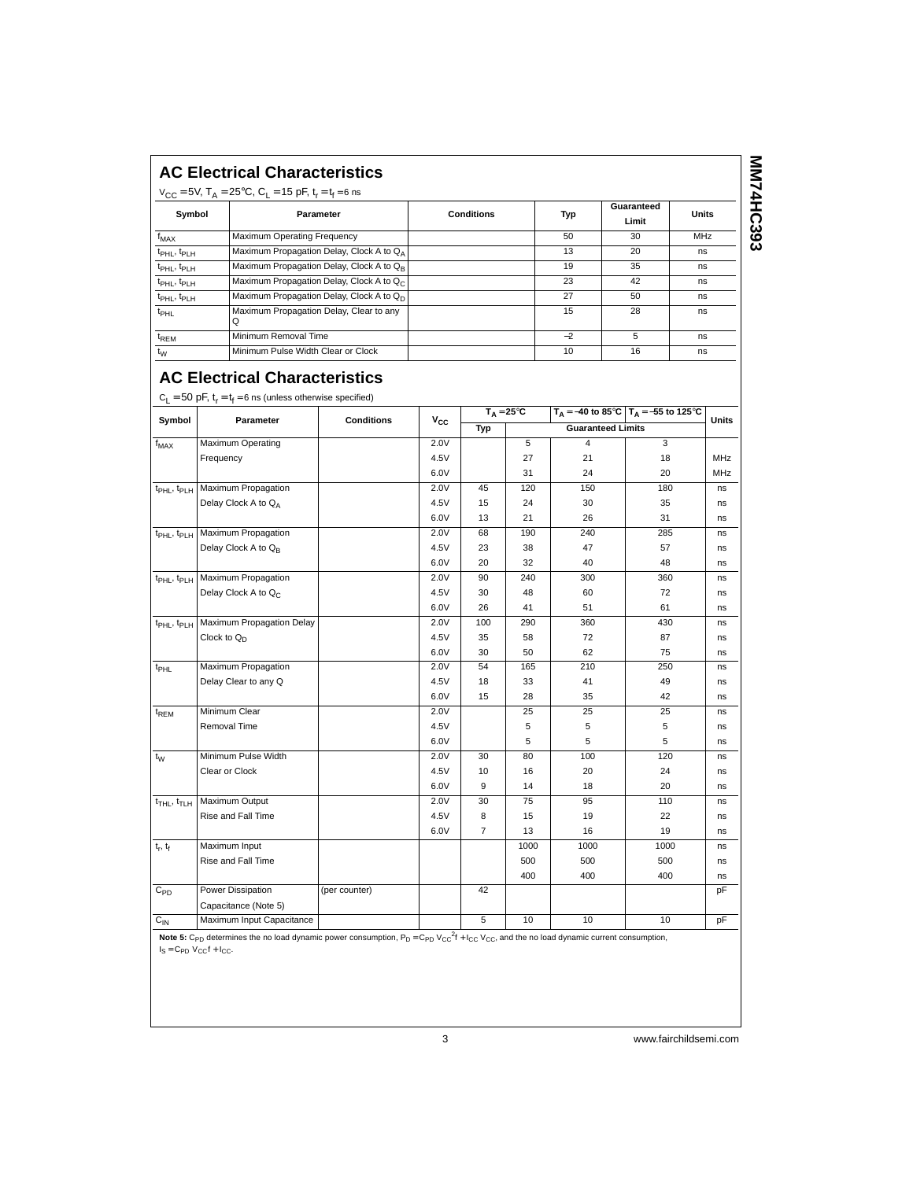| <b>AC Electrical Characteristics</b> |  |
|--------------------------------------|--|
|                                      |  |

| $V_{CC}$ = 5V, T <sub>A</sub> = 25°C, C <sub>1</sub> = 15 pF, t <sub>r</sub> = t <sub>f</sub> = 6 ns |                                                      |                   |      |                     |              |  |
|------------------------------------------------------------------------------------------------------|------------------------------------------------------|-------------------|------|---------------------|--------------|--|
| Symbol                                                                                               | Parameter                                            | <b>Conditions</b> | Typ  | Guaranteed<br>Limit | <b>Units</b> |  |
| f <sub>MAX</sub>                                                                                     | <b>Maximum Operating Frequency</b>                   |                   | 50   | 30                  | <b>MHz</b>   |  |
| t <sub>PHL</sub> , t <sub>PLH</sub>                                                                  | Maximum Propagation Delay, Clock A to QA             |                   | 13   | 20                  | ns           |  |
| t <sub>PHL</sub> , t <sub>PLH</sub>                                                                  | Maximum Propagation Delay, Clock A to Q <sub>B</sub> |                   | 19   | 35                  | ns           |  |
| $t_{\rm PHL}$ , $t_{\rm PLH}$                                                                        | Maximum Propagation Delay, Clock A to Q <sub>C</sub> |                   | 23   | 42                  | ns           |  |
| t <sub>PHL</sub> , t <sub>PLH</sub>                                                                  | Maximum Propagation Delay, Clock A to Q <sub>D</sub> |                   | 27   | 50                  | ns           |  |
| t <sub>PHL</sub>                                                                                     | Maximum Propagation Delay, Clear to any<br>Q         |                   | 15   | 28                  | ns           |  |
| t <sub>REM</sub>                                                                                     | Minimum Removal Time                                 |                   | $-2$ | 5                   | ns           |  |
| $t_{\rm W}$                                                                                          | Minimum Pulse Width Clear or Clock                   |                   | 10   | 16                  | ns           |  |

## **AC Electrical Characteristics**

|  | $C_L = 50$ pF, $t_r = t_f = 6$ ns (unless otherwise specified) |
|--|----------------------------------------------------------------|
|--|----------------------------------------------------------------|

| Symbol                              | Parameter                                               | <b>Conditions</b> | $V_{CC}$ | $T_A = 25^{\circ}C$ |      |                          | $T_A = -40$ to 85°C $T_A = -55$ to 125°C | Units |
|-------------------------------------|---------------------------------------------------------|-------------------|----------|---------------------|------|--------------------------|------------------------------------------|-------|
|                                     |                                                         |                   |          | Typ                 |      | <b>Guaranteed Limits</b> |                                          |       |
| $f_{MAX}$                           | Maximum Operating                                       |                   | 2.0V     |                     | 5    | 4                        | 3                                        |       |
|                                     | Frequency                                               |                   | 4.5V     |                     | 27   | 21                       | 18                                       | MHz   |
|                                     |                                                         |                   | 6.0V     |                     | 31   | 24                       | 20                                       | MHz   |
| $t_{\rm PHL}$ , $t_{\rm PLH}$       | Maximum Propagation                                     |                   | 2.0V     | 45                  | 120  | 150                      | 180                                      | ns    |
|                                     | Delay Clock A to QA                                     |                   | 4.5V     | 15                  | 24   | 30                       | 35                                       | ns    |
|                                     |                                                         |                   | 6.0V     | 13                  | 21   | 26                       | 31                                       | ns    |
| t <sub>PHL</sub> , t <sub>PLH</sub> | Maximum Propagation                                     |                   | 2.0V     | 68                  | 190  | 240                      | 285                                      | ns    |
|                                     | Delay Clock A to Q <sub>B</sub>                         |                   | 4.5V     | 23                  | 38   | 47                       | 57                                       | ns    |
|                                     |                                                         |                   | 6.0V     | 20                  | 32   | 40                       | 48                                       | ns    |
|                                     | t <sub>PHL</sub> , t <sub>PLH</sub> Maximum Propagation |                   | 2.0V     | 90                  | 240  | 300                      | 360                                      | ns    |
|                                     | Delay Clock A to Q <sub>C</sub>                         |                   | 4.5V     | 30                  | 48   | 60                       | 72                                       | ns    |
|                                     |                                                         |                   | 6.0V     | 26                  | 41   | 51                       | 61                                       | ns    |
| t <sub>PHL</sub> , t <sub>PLH</sub> | Maximum Propagation Delay                               |                   | 2.0V     | 100                 | 290  | 360                      | 430                                      | ns    |
|                                     | Clock to $Q_D$                                          |                   | 4.5V     | 35                  | 58   | 72                       | 87                                       | ns    |
|                                     |                                                         |                   | 6.0V     | 30                  | 50   | 62                       | 75                                       | ns    |
| $t_{\sf PHL}$                       | Maximum Propagation                                     |                   | 2.0V     | 54                  | 165  | 210                      | 250                                      | ns    |
|                                     | Delay Clear to any Q                                    |                   | 4.5V     | 18                  | 33   | 41                       | 49                                       | ns    |
|                                     |                                                         |                   | 6.0V     | 15                  | 28   | 35                       | 42                                       | ns    |
| t <sub>REM</sub>                    | Minimum Clear                                           |                   | 2.0V     |                     | 25   | 25                       | 25                                       | ns    |
|                                     | Removal Time                                            |                   | 4.5V     |                     | 5    | 5                        | 5                                        | ns    |
|                                     |                                                         |                   | 6.0V     |                     | 5    | 5                        | 5                                        | ns    |
| $t_{W}$                             | Minimum Pulse Width                                     |                   | 2.0V     | 30                  | 80   | 100                      | 120                                      | ns    |
|                                     | Clear or Clock                                          |                   | 4.5V     | 10                  | 16   | 20                       | 24                                       | ns    |
|                                     |                                                         |                   | 6.0V     | 9                   | 14   | 18                       | 20                                       | ns    |
| $t_{\text{THL}}$ , $t_{\text{TLH}}$ | Maximum Output                                          |                   | 2.0V     | 30                  | 75   | 95                       | 110                                      | ns    |
|                                     | Rise and Fall Time                                      |                   | 4.5V     | 8                   | 15   | 19                       | 22                                       | ns    |
|                                     |                                                         |                   | 6.0V     | $\overline{7}$      | 13   | 16                       | 19                                       | ns    |
| $t_r$ , $t_f$                       | Maximum Input                                           |                   |          |                     | 1000 | 1000                     | 1000                                     | ns    |
|                                     | Rise and Fall Time                                      |                   |          |                     | 500  | 500                      | 500                                      | ns    |
|                                     |                                                         |                   |          |                     | 400  | 400                      | 400                                      | ns    |
| $C_{PD}$                            | Power Dissipation                                       | (per counter)     |          | 42                  |      |                          |                                          | pF    |
|                                     | Capacitance (Note 5)                                    |                   |          |                     |      |                          |                                          |       |
| $C_{IN}$                            | Maximum Input Capacitance                               |                   |          | 5                   | 10   | 10                       | 10                                       | pF    |

**Note 5:** C<sub>PD</sub> determines the no load dynamic power consumption, P<sub>D</sub> = C<sub>PD</sub> V<sub>CC</sub><sup>2</sup>f + I<sub>CC</sub> V<sub>CC</sub>, and the no load dynamic current consumption,  $I_S = C_{PD}$   $V_{CC}f + I_{CC}$ .

3 www.fairchildsemi.com

**MM74HC393 MM74HC393**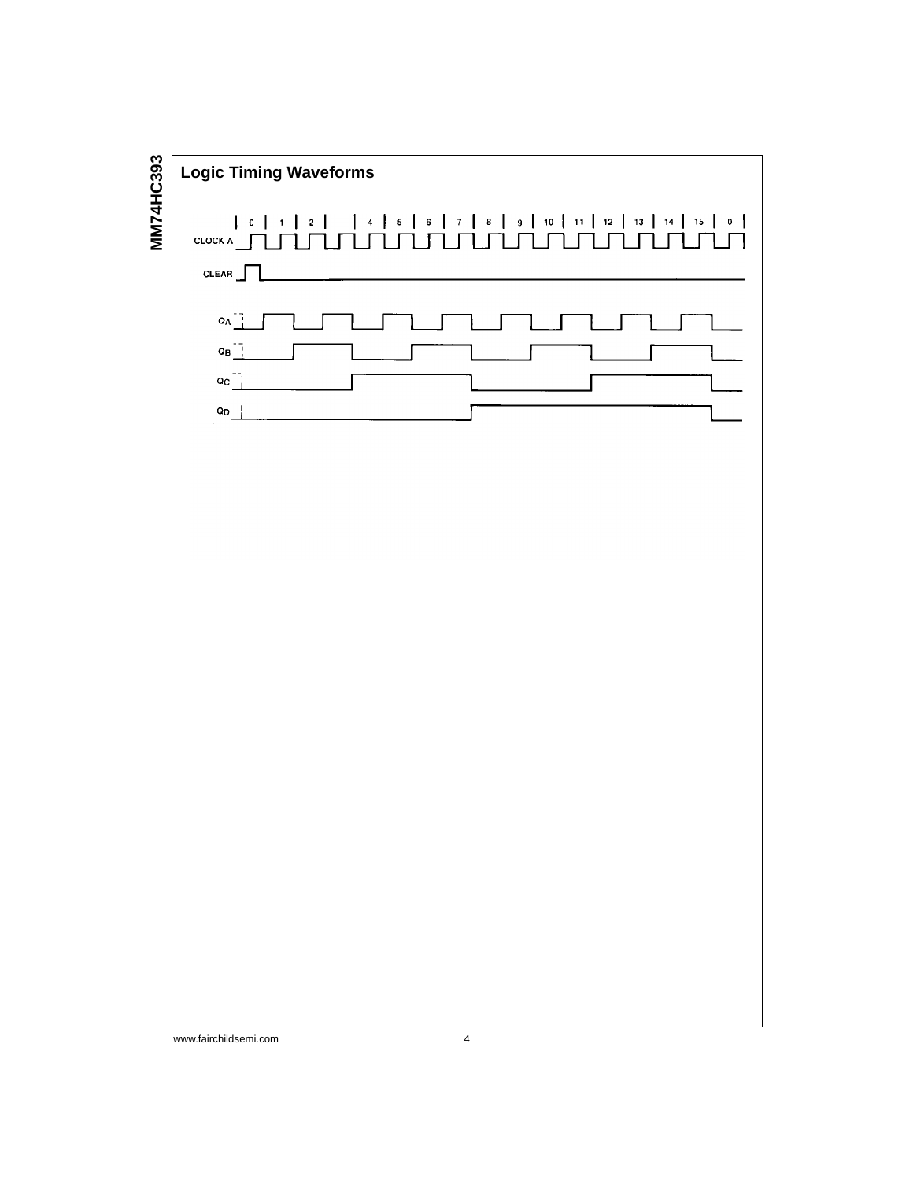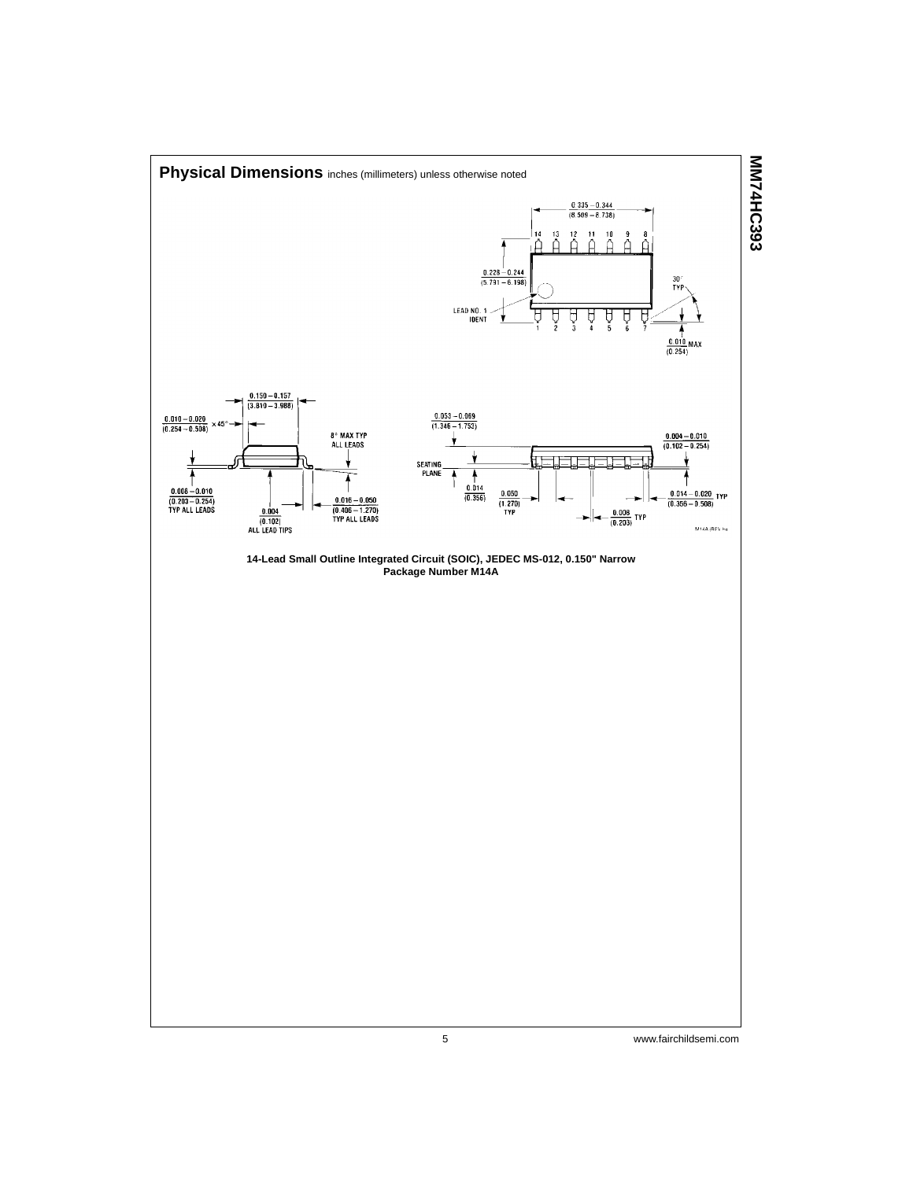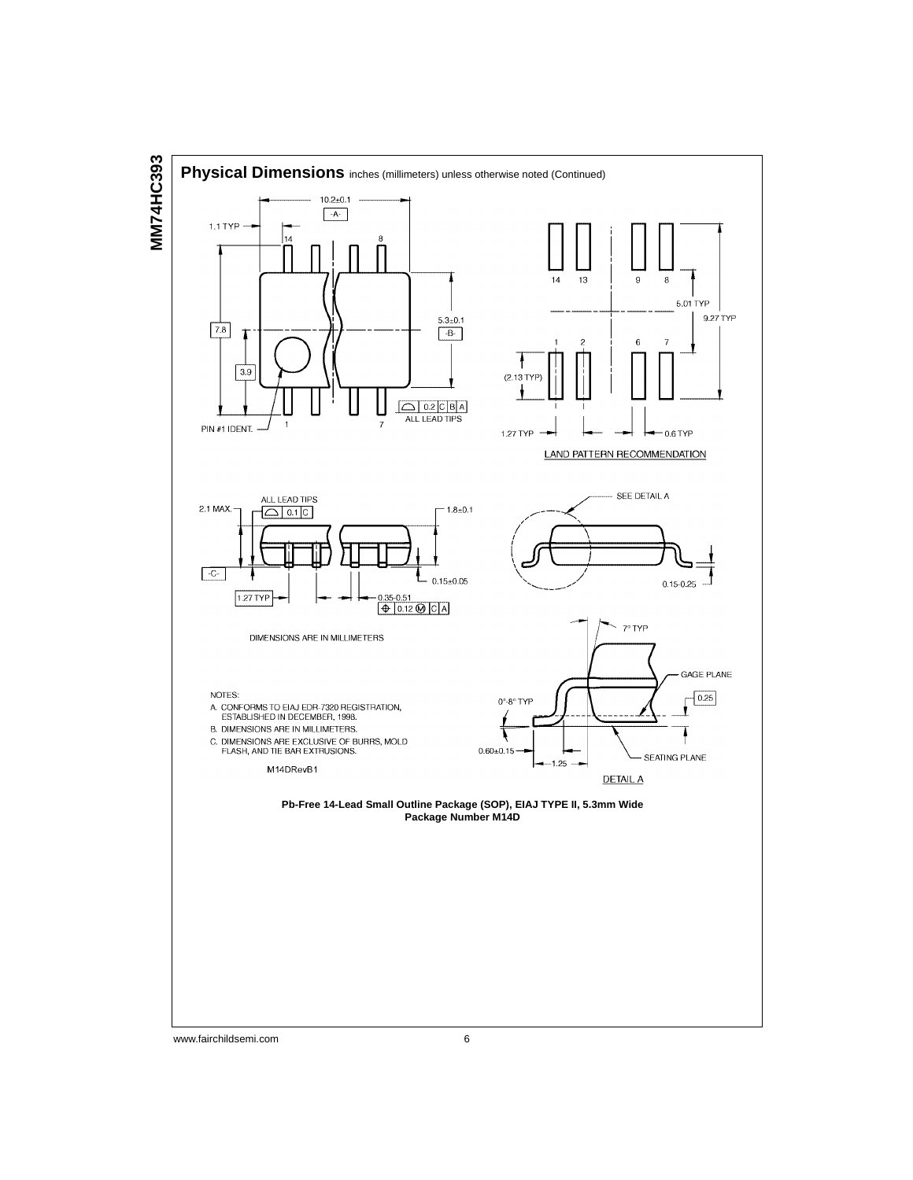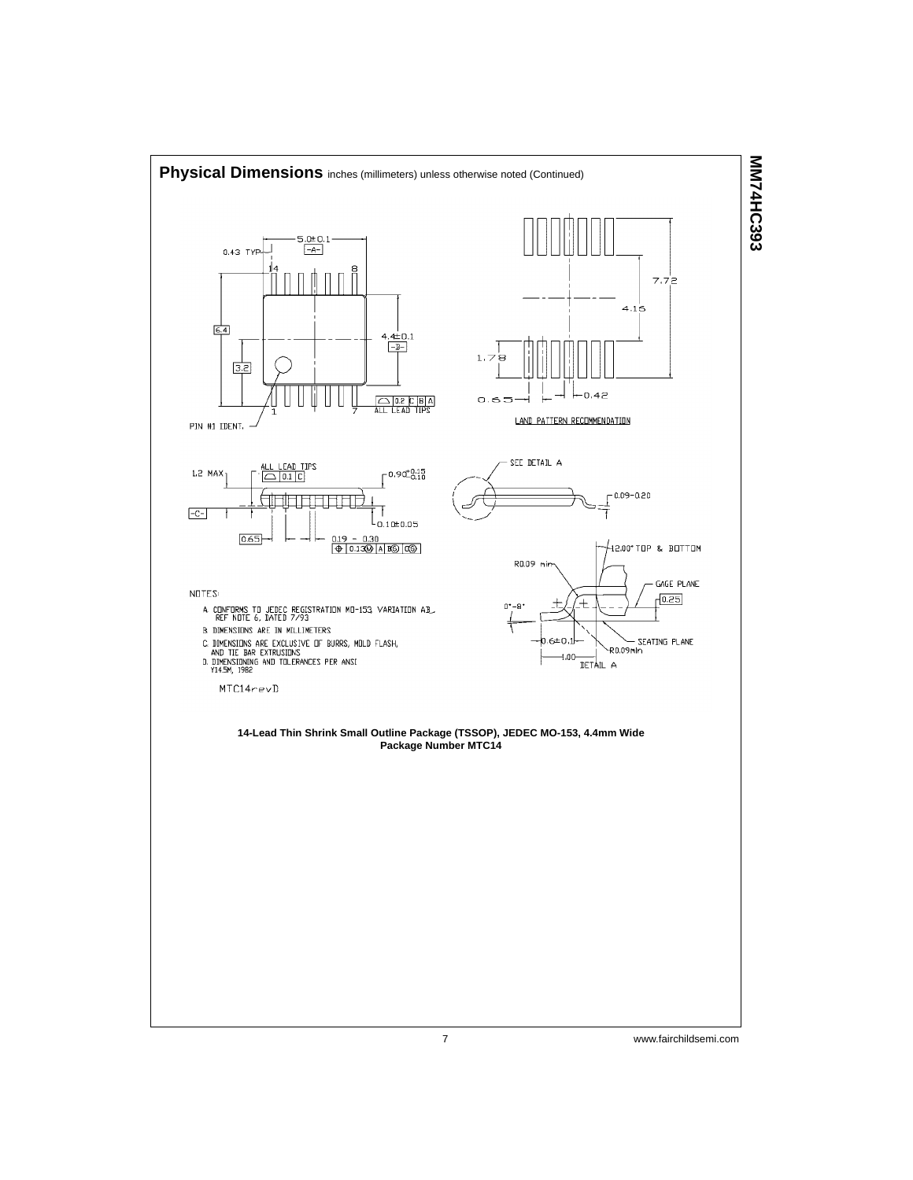

7 www.fairchildsemi.com